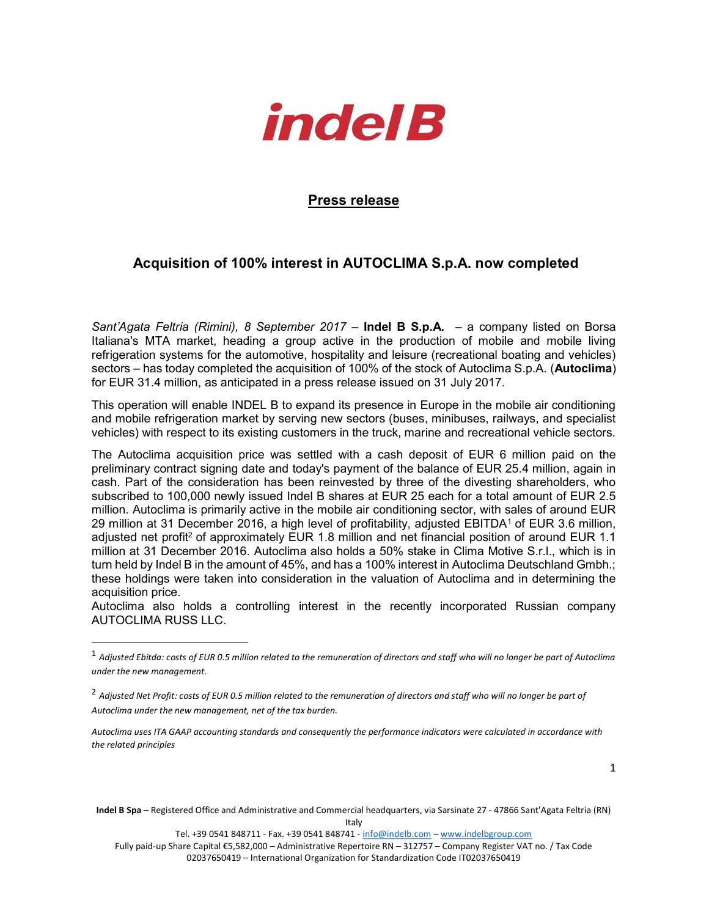

## Press release

## Acquisition of 100% interest in AUTOCLIMA S.p.A. now completed

Sant'Agata Feltria (Rimini), 8 September 2017 – **Indel B S.p.A.** – a company listed on Borsa Italiana's MTA market, heading a group active in the production of mobile and mobile living refrigeration systems for the automotive, hospitality and leisure (recreational boating and vehicles) sectors – has today completed the acquisition of 100% of the stock of Autoclima S.p.A. (Autoclima) for EUR 31.4 million, as anticipated in a press release issued on 31 July 2017.

This operation will enable INDEL B to expand its presence in Europe in the mobile air conditioning and mobile refrigeration market by serving new sectors (buses, minibuses, railways, and specialist vehicles) with respect to its existing customers in the truck, marine and recreational vehicle sectors.

The Autoclima acquisition price was settled with a cash deposit of EUR 6 million paid on the preliminary contract signing date and today's payment of the balance of EUR 25.4 million, again in cash. Part of the consideration has been reinvested by three of the divesting shareholders, who subscribed to 100,000 newly issued Indel B shares at EUR 25 each for a total amount of EUR 2.5 million. Autoclima is primarily active in the mobile air conditioning sector, with sales of around EUR 29 million at 31 December 2016, a high level of profitability, adjusted EBITDA<sup>1</sup> of EUR 3.6 million, adjusted net profit<sup>2</sup> of approximately EUR 1.8 million and net financial position of around EUR 1.1 million at 31 December 2016. Autoclima also holds a 50% stake in Clima Motive S.r.l., which is in turn held by Indel B in the amount of 45%, and has a 100% interest in Autoclima Deutschland Gmbh.; these holdings were taken into consideration in the valuation of Autoclima and in determining the acquisition price.

Autoclima also holds a controlling interest in the recently incorporated Russian company AUTOCLIMA RUSS LLC.

l

Indel B Spa – Registered Office and Administrative and Commercial headquarters, via Sarsinate 27 - 47866 Sant'Agata Feltria (RN) Italy

Tel. +39 0541 848711 - Fax. +39 0541 848741 - info@indelb.com - www.indelbgroup.com

Fully paid-up Share Capital €5,582,000 – Administrative Repertoire RN – 312757 – Company Register VAT no. / Tax Code 02037650419 – International Organization for Standardization Code IT02037650419

 $^1$  Adjusted Ebitda: costs of EUR 0.5 million related to the remuneration of directors and staff who will no longer be part of Autoclima under the new management.

<sup>&</sup>lt;sup>2</sup> Adjusted Net Profit: costs of EUR 0.5 million related to the remuneration of directors and staff who will no longer be part of Autoclima under the new management, net of the tax burden.

Autoclima uses ITA GAAP accounting standards and consequently the performance indicators were calculated in accordance with the related principles